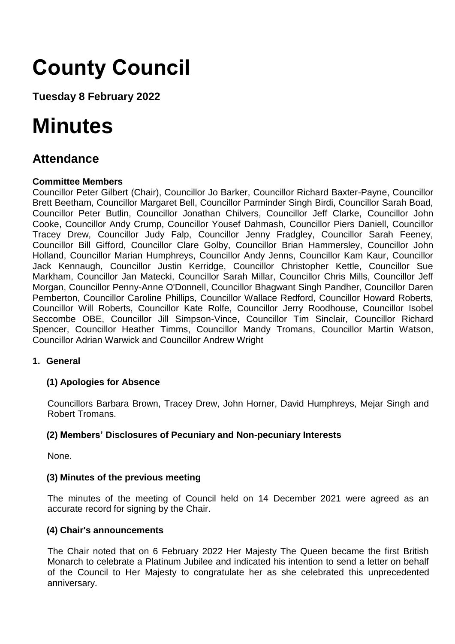# **County Council**

**Tuesday 8 February 2022**

## **Minutes**

### **Attendance**

#### **Committee Members**

Councillor Peter Gilbert (Chair), Councillor Jo Barker, Councillor Richard Baxter-Payne, Councillor Brett Beetham, Councillor Margaret Bell, Councillor Parminder Singh Birdi, Councillor Sarah Boad, Councillor Peter Butlin, Councillor Jonathan Chilvers, Councillor Jeff Clarke, Councillor John Cooke, Councillor Andy Crump, Councillor Yousef Dahmash, Councillor Piers Daniell, Councillor Tracey Drew, Councillor Judy Falp, Councillor Jenny Fradgley, Councillor Sarah Feeney, Councillor Bill Gifford, Councillor Clare Golby, Councillor Brian Hammersley, Councillor John Holland, Councillor Marian Humphreys, Councillor Andy Jenns, Councillor Kam Kaur, Councillor Jack Kennaugh, Councillor Justin Kerridge, Councillor Christopher Kettle, Councillor Sue Markham, Councillor Jan Matecki, Councillor Sarah Millar, Councillor Chris Mills, Councillor Jeff Morgan, Councillor Penny-Anne O'Donnell, Councillor Bhagwant Singh Pandher, Councillor Daren Pemberton, Councillor Caroline Phillips, Councillor Wallace Redford, Councillor Howard Roberts, Councillor Will Roberts, Councillor Kate Rolfe, Councillor Jerry Roodhouse, Councillor Isobel Seccombe OBE, Councillor Jill Simpson-Vince, Councillor Tim Sinclair, Councillor Richard Spencer, Councillor Heather Timms, Councillor Mandy Tromans, Councillor Martin Watson, Councillor Adrian Warwick and Councillor Andrew Wright

#### **1. General**

#### **(1) Apologies for Absence**

Councillors Barbara Brown, Tracey Drew, John Horner, David Humphreys, Mejar Singh and Robert Tromans.

#### **(2) Members' Disclosures of Pecuniary and Non-pecuniary Interests**

None.

#### **(3) Minutes of the previous meeting**

The minutes of the meeting of Council held on 14 December 2021 were agreed as an accurate record for signing by the Chair.

#### **(4) Chair's announcements**

The Chair noted that on 6 February 2022 Her Majesty The Queen became the first British Monarch to celebrate a Platinum Jubilee and indicated his intention to send a letter on behalf of the Council to Her Majesty to congratulate her as she celebrated this unprecedented anniversary.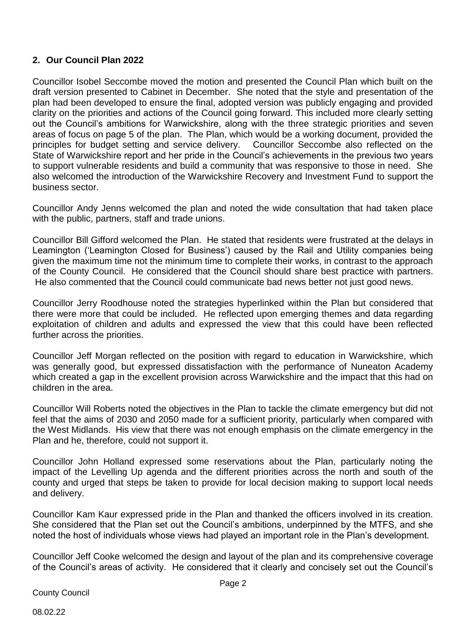#### **2. Our Council Plan 2022**

Councillor Isobel Seccombe moved the motion and presented the Council Plan which built on the draft version presented to Cabinet in December. She noted that the style and presentation of the plan had been developed to ensure the final, adopted version was publicly engaging and provided clarity on the priorities and actions of the Council going forward. This included more clearly setting out the Council's ambitions for Warwickshire, along with the three strategic priorities and seven areas of focus on page 5 of the plan. The Plan, which would be a working document, provided the principles for budget setting and service delivery. Councillor Seccombe also reflected on the State of Warwickshire report and her pride in the Council's achievements in the previous two years to support vulnerable residents and build a community that was responsive to those in need. She also welcomed the introduction of the Warwickshire Recovery and Investment Fund to support the business sector.

Councillor Andy Jenns welcomed the plan and noted the wide consultation that had taken place with the public, partners, staff and trade unions.

Councillor Bill Gifford welcomed the Plan. He stated that residents were frustrated at the delays in Leamington ('Leamington Closed for Business') caused by the Rail and Utility companies being given the maximum time not the minimum time to complete their works, in contrast to the approach of the County Council. He considered that the Council should share best practice with partners. He also commented that the Council could communicate bad news better not just good news.

Councillor Jerry Roodhouse noted the strategies hyperlinked within the Plan but considered that there were more that could be included. He reflected upon emerging themes and data regarding exploitation of children and adults and expressed the view that this could have been reflected further across the priorities.

Councillor Jeff Morgan reflected on the position with regard to education in Warwickshire, which was generally good, but expressed dissatisfaction with the performance of Nuneaton Academy which created a gap in the excellent provision across Warwickshire and the impact that this had on children in the area.

Councillor Will Roberts noted the objectives in the Plan to tackle the climate emergency but did not feel that the aims of 2030 and 2050 made for a sufficient priority, particularly when compared with the West Midlands. His view that there was not enough emphasis on the climate emergency in the Plan and he, therefore, could not support it.

Councillor John Holland expressed some reservations about the Plan, particularly noting the impact of the Levelling Up agenda and the different priorities across the north and south of the county and urged that steps be taken to provide for local decision making to support local needs and delivery.

Councillor Kam Kaur expressed pride in the Plan and thanked the officers involved in its creation. She considered that the Plan set out the Council's ambitions, underpinned by the MTFS, and she noted the host of individuals whose views had played an important role in the Plan's development.

Councillor Jeff Cooke welcomed the design and layout of the plan and its comprehensive coverage of the Council's areas of activity. He considered that it clearly and concisely set out the Council's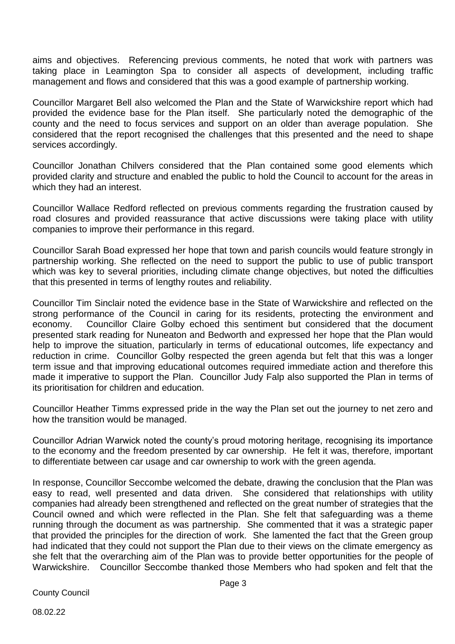aims and objectives. Referencing previous comments, he noted that work with partners was taking place in Leamington Spa to consider all aspects of development, including traffic management and flows and considered that this was a good example of partnership working.

Councillor Margaret Bell also welcomed the Plan and the State of Warwickshire report which had provided the evidence base for the Plan itself. She particularly noted the demographic of the county and the need to focus services and support on an older than average population. She considered that the report recognised the challenges that this presented and the need to shape services accordingly.

Councillor Jonathan Chilvers considered that the Plan contained some good elements which provided clarity and structure and enabled the public to hold the Council to account for the areas in which they had an interest.

Councillor Wallace Redford reflected on previous comments regarding the frustration caused by road closures and provided reassurance that active discussions were taking place with utility companies to improve their performance in this regard.

Councillor Sarah Boad expressed her hope that town and parish councils would feature strongly in partnership working. She reflected on the need to support the public to use of public transport which was key to several priorities, including climate change objectives, but noted the difficulties that this presented in terms of lengthy routes and reliability.

Councillor Tim Sinclair noted the evidence base in the State of Warwickshire and reflected on the strong performance of the Council in caring for its residents, protecting the environment and economy. Councillor Claire Golby echoed this sentiment but considered that the document presented stark reading for Nuneaton and Bedworth and expressed her hope that the Plan would help to improve the situation, particularly in terms of educational outcomes, life expectancy and reduction in crime. Councillor Golby respected the green agenda but felt that this was a longer term issue and that improving educational outcomes required immediate action and therefore this made it imperative to support the Plan. Councillor Judy Falp also supported the Plan in terms of its prioritisation for children and education.

Councillor Heather Timms expressed pride in the way the Plan set out the journey to net zero and how the transition would be managed.

Councillor Adrian Warwick noted the county's proud motoring heritage, recognising its importance to the economy and the freedom presented by car ownership. He felt it was, therefore, important to differentiate between car usage and car ownership to work with the green agenda.

In response, Councillor Seccombe welcomed the debate, drawing the conclusion that the Plan was easy to read, well presented and data driven. She considered that relationships with utility companies had already been strengthened and reflected on the great number of strategies that the Council owned and which were reflected in the Plan. She felt that safeguarding was a theme running through the document as was partnership. She commented that it was a strategic paper that provided the principles for the direction of work. She lamented the fact that the Green group had indicated that they could not support the Plan due to their views on the climate emergency as she felt that the overarching aim of the Plan was to provide better opportunities for the people of Warwickshire. Councillor Seccombe thanked those Members who had spoken and felt that the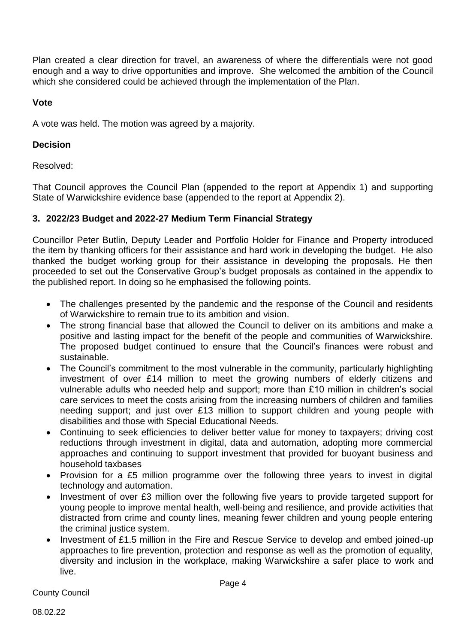Plan created a clear direction for travel, an awareness of where the differentials were not good enough and a way to drive opportunities and improve. She welcomed the ambition of the Council which she considered could be achieved through the implementation of the Plan.

#### **Vote**

A vote was held. The motion was agreed by a majority.

#### **Decision**

Resolved:

That Council approves the Council Plan (appended to the report at Appendix 1) and supporting State of Warwickshire evidence base (appended to the report at Appendix 2).

#### **3. 2022/23 Budget and 2022-27 Medium Term Financial Strategy**

Councillor Peter Butlin, Deputy Leader and Portfolio Holder for Finance and Property introduced the item by thanking officers for their assistance and hard work in developing the budget. He also thanked the budget working group for their assistance in developing the proposals. He then proceeded to set out the Conservative Group's budget proposals as contained in the appendix to the published report. In doing so he emphasised the following points.

- The challenges presented by the pandemic and the response of the Council and residents of Warwickshire to remain true to its ambition and vision.
- The strong financial base that allowed the Council to deliver on its ambitions and make a positive and lasting impact for the benefit of the people and communities of Warwickshire. The proposed budget continued to ensure that the Council's finances were robust and sustainable.
- The Council's commitment to the most vulnerable in the community, particularly highlighting investment of over £14 million to meet the growing numbers of elderly citizens and vulnerable adults who needed help and support; more than £10 million in children's social care services to meet the costs arising from the increasing numbers of children and families needing support; and just over £13 million to support children and young people with disabilities and those with Special Educational Needs.
- Continuing to seek efficiencies to deliver better value for money to taxpayers; driving cost reductions through investment in digital, data and automation, adopting more commercial approaches and continuing to support investment that provided for buoyant business and household taxbases
- Provision for a £5 million programme over the following three years to invest in digital technology and automation.
- Investment of over £3 million over the following five years to provide targeted support for young people to improve mental health, well-being and resilience, and provide activities that distracted from crime and county lines, meaning fewer children and young people entering the criminal justice system.
- Investment of £1.5 million in the Fire and Rescue Service to develop and embed joined-up approaches to fire prevention, protection and response as well as the promotion of equality, diversity and inclusion in the workplace, making Warwickshire a safer place to work and live.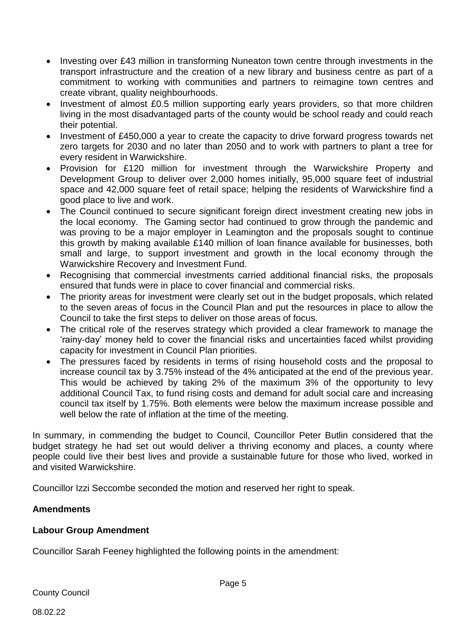- Investing over £43 million in transforming Nuneaton town centre through investments in the transport infrastructure and the creation of a new library and business centre as part of a commitment to working with communities and partners to reimagine town centres and create vibrant, quality neighbourhoods.
- Investment of almost £0.5 million supporting early years providers, so that more children living in the most disadvantaged parts of the county would be school ready and could reach their potential.
- Investment of £450,000 a year to create the capacity to drive forward progress towards net zero targets for 2030 and no later than 2050 and to work with partners to plant a tree for every resident in Warwickshire.
- Provision for £120 million for investment through the Warwickshire Property and Development Group to deliver over 2,000 homes initially, 95,000 square feet of industrial space and 42,000 square feet of retail space; helping the residents of Warwickshire find a good place to live and work.
- The Council continued to secure significant foreign direct investment creating new jobs in the local economy. The Gaming sector had continued to grow through the pandemic and was proving to be a major employer in Leamington and the proposals sought to continue this growth by making available £140 million of loan finance available for businesses, both small and large, to support investment and growth in the local economy through the Warwickshire Recovery and Investment Fund.
- Recognising that commercial investments carried additional financial risks, the proposals ensured that funds were in place to cover financial and commercial risks.
- The priority areas for investment were clearly set out in the budget proposals, which related to the seven areas of focus in the Council Plan and put the resources in place to allow the Council to take the first steps to deliver on those areas of focus.
- The critical role of the reserves strategy which provided a clear framework to manage the 'rainy-day' money held to cover the financial risks and uncertainties faced whilst providing capacity for investment in Council Plan priorities.
- The pressures faced by residents in terms of rising household costs and the proposal to increase council tax by 3.75% instead of the 4% anticipated at the end of the previous year. This would be achieved by taking 2% of the maximum 3% of the opportunity to levy additional Council Tax, to fund rising costs and demand for adult social care and increasing council tax itself by 1.75%. Both elements were below the maximum increase possible and well below the rate of inflation at the time of the meeting.

In summary, in commending the budget to Council, Councillor Peter Butlin considered that the budget strategy he had set out would deliver a thriving economy and places, a county where people could live their best lives and provide a sustainable future for those who lived, worked in and visited Warwickshire.

Councillor Izzi Seccombe seconded the motion and reserved her right to speak.

#### **Amendments**

#### **Labour Group Amendment**

Councillor Sarah Feeney highlighted the following points in the amendment: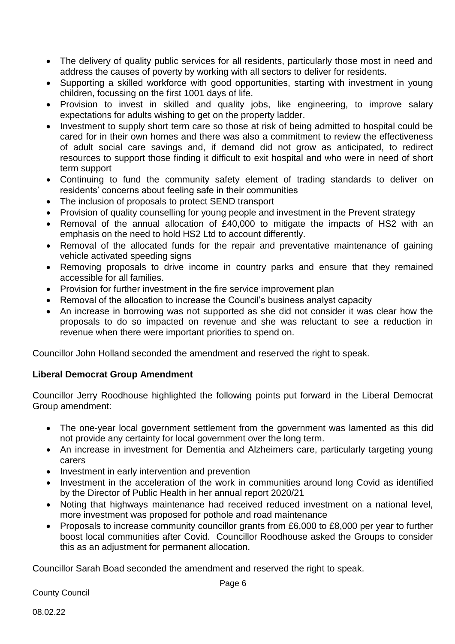- The delivery of quality public services for all residents, particularly those most in need and address the causes of poverty by working with all sectors to deliver for residents.
- Supporting a skilled workforce with good opportunities, starting with investment in young children, focussing on the first 1001 days of life.
- Provision to invest in skilled and quality jobs, like engineering, to improve salary expectations for adults wishing to get on the property ladder.
- Investment to supply short term care so those at risk of being admitted to hospital could be cared for in their own homes and there was also a commitment to review the effectiveness of adult social care savings and, if demand did not grow as anticipated, to redirect resources to support those finding it difficult to exit hospital and who were in need of short term support
- Continuing to fund the community safety element of trading standards to deliver on residents' concerns about feeling safe in their communities
- The inclusion of proposals to protect SEND transport
- Provision of quality counselling for young people and investment in the Prevent strategy
- Removal of the annual allocation of £40,000 to mitigate the impacts of HS2 with an emphasis on the need to hold HS2 Ltd to account differently.
- Removal of the allocated funds for the repair and preventative maintenance of gaining vehicle activated speeding signs
- Removing proposals to drive income in country parks and ensure that they remained accessible for all families.
- Provision for further investment in the fire service improvement plan
- Removal of the allocation to increase the Council's business analyst capacity
- An increase in borrowing was not supported as she did not consider it was clear how the proposals to do so impacted on revenue and she was reluctant to see a reduction in revenue when there were important priorities to spend on.

Councillor John Holland seconded the amendment and reserved the right to speak.

#### **Liberal Democrat Group Amendment**

Councillor Jerry Roodhouse highlighted the following points put forward in the Liberal Democrat Group amendment:

- The one-year local government settlement from the government was lamented as this did not provide any certainty for local government over the long term.
- An increase in investment for Dementia and Alzheimers care, particularly targeting young carers
- Investment in early intervention and prevention
- Investment in the acceleration of the work in communities around long Covid as identified by the Director of Public Health in her annual report 2020/21
- Noting that highways maintenance had received reduced investment on a national level, more investment was proposed for pothole and road maintenance
- Proposals to increase community councillor grants from £6,000 to £8,000 per year to further boost local communities after Covid. Councillor Roodhouse asked the Groups to consider this as an adjustment for permanent allocation.

Councillor Sarah Boad seconded the amendment and reserved the right to speak.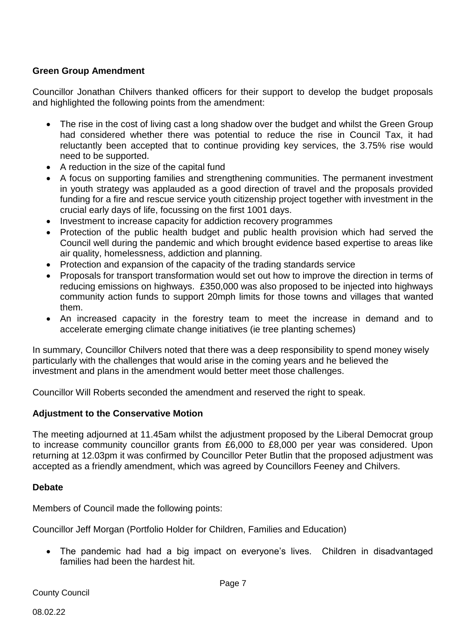#### **Green Group Amendment**

Councillor Jonathan Chilvers thanked officers for their support to develop the budget proposals and highlighted the following points from the amendment:

- The rise in the cost of living cast a long shadow over the budget and whilst the Green Group had considered whether there was potential to reduce the rise in Council Tax, it had reluctantly been accepted that to continue providing key services, the 3.75% rise would need to be supported.
- A reduction in the size of the capital fund
- A focus on supporting families and strengthening communities. The permanent investment in youth strategy was applauded as a good direction of travel and the proposals provided funding for a fire and rescue service youth citizenship project together with investment in the crucial early days of life, focussing on the first 1001 days.
- Investment to increase capacity for addiction recovery programmes
- Protection of the public health budget and public health provision which had served the Council well during the pandemic and which brought evidence based expertise to areas like air quality, homelessness, addiction and planning.
- Protection and expansion of the capacity of the trading standards service
- Proposals for transport transformation would set out how to improve the direction in terms of reducing emissions on highways. £350,000 was also proposed to be injected into highways community action funds to support 20mph limits for those towns and villages that wanted them.
- An increased capacity in the forestry team to meet the increase in demand and to accelerate emerging climate change initiatives (ie tree planting schemes)

In summary, Councillor Chilvers noted that there was a deep responsibility to spend money wisely particularly with the challenges that would arise in the coming years and he believed the investment and plans in the amendment would better meet those challenges.

Councillor Will Roberts seconded the amendment and reserved the right to speak.

#### **Adjustment to the Conservative Motion**

The meeting adjourned at 11.45am whilst the adjustment proposed by the Liberal Democrat group to increase community councillor grants from £6,000 to £8,000 per year was considered. Upon returning at 12.03pm it was confirmed by Councillor Peter Butlin that the proposed adjustment was accepted as a friendly amendment, which was agreed by Councillors Feeney and Chilvers.

#### **Debate**

Members of Council made the following points:

Councillor Jeff Morgan (Portfolio Holder for Children, Families and Education)

• The pandemic had had a big impact on everyone's lives. Children in disadvantaged families had been the hardest hit.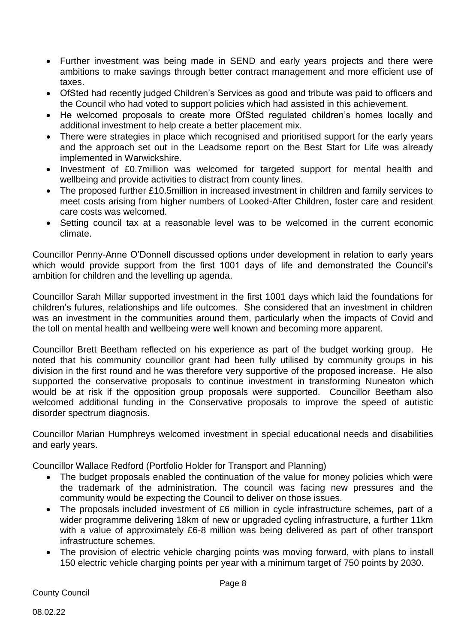- Further investment was being made in SEND and early years projects and there were ambitions to make savings through better contract management and more efficient use of taxes.
- OfSted had recently judged Children's Services as good and tribute was paid to officers and the Council who had voted to support policies which had assisted in this achievement.
- He welcomed proposals to create more OfSted regulated children's homes locally and additional investment to help create a better placement mix.
- There were strategies in place which recognised and prioritised support for the early years and the approach set out in the Leadsome report on the Best Start for Life was already implemented in Warwickshire.
- Investment of £0.7million was welcomed for targeted support for mental health and wellbeing and provide activities to distract from county lines.
- The proposed further £10.5million in increased investment in children and family services to meet costs arising from higher numbers of Looked-After Children, foster care and resident care costs was welcomed.
- Setting council tax at a reasonable level was to be welcomed in the current economic climate.

Councillor Penny-Anne O'Donnell discussed options under development in relation to early years which would provide support from the first 1001 days of life and demonstrated the Council's ambition for children and the levelling up agenda.

Councillor Sarah Millar supported investment in the first 1001 days which laid the foundations for children's futures, relationships and life outcomes. She considered that an investment in children was an investment in the communities around them, particularly when the impacts of Covid and the toll on mental health and wellbeing were well known and becoming more apparent.

Councillor Brett Beetham reflected on his experience as part of the budget working group. He noted that his community councillor grant had been fully utilised by community groups in his division in the first round and he was therefore very supportive of the proposed increase. He also supported the conservative proposals to continue investment in transforming Nuneaton which would be at risk if the opposition group proposals were supported. Councillor Beetham also welcomed additional funding in the Conservative proposals to improve the speed of autistic disorder spectrum diagnosis.

Councillor Marian Humphreys welcomed investment in special educational needs and disabilities and early years.

Councillor Wallace Redford (Portfolio Holder for Transport and Planning)

- The budget proposals enabled the continuation of the value for money policies which were the trademark of the administration. The council was facing new pressures and the community would be expecting the Council to deliver on those issues.
- The proposals included investment of £6 million in cycle infrastructure schemes, part of a wider programme delivering 18km of new or upgraded cycling infrastructure, a further 11km with a value of approximately £6-8 million was being delivered as part of other transport infrastructure schemes.
- The provision of electric vehicle charging points was moving forward, with plans to install 150 electric vehicle charging points per year with a minimum target of 750 points by 2030.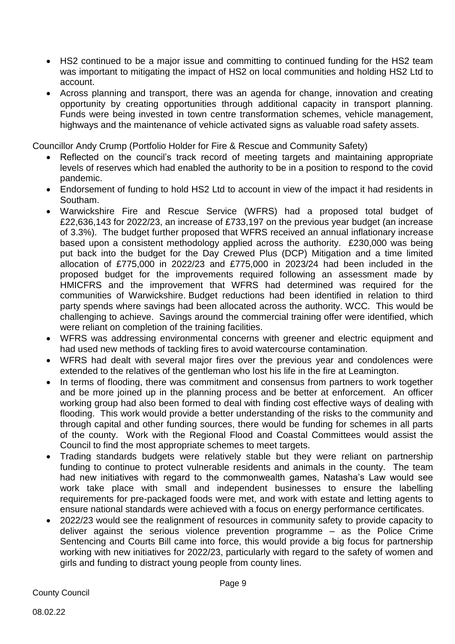- HS2 continued to be a major issue and committing to continued funding for the HS2 team was important to mitigating the impact of HS2 on local communities and holding HS2 Ltd to account.
- Across planning and transport, there was an agenda for change, innovation and creating opportunity by creating opportunities through additional capacity in transport planning. Funds were being invested in town centre transformation schemes, vehicle management, highways and the maintenance of vehicle activated signs as valuable road safety assets.

Councillor Andy Crump (Portfolio Holder for Fire & Rescue and Community Safety)

- Reflected on the council's track record of meeting targets and maintaining appropriate levels of reserves which had enabled the authority to be in a position to respond to the covid pandemic.
- Endorsement of funding to hold HS2 Ltd to account in view of the impact it had residents in Southam.
- Warwickshire Fire and Rescue Service (WFRS) had a proposed total budget of £22,636,143 for 2022/23, an increase of £733,197 on the previous year budget (an increase of 3.3%). The budget further proposed that WFRS received an annual inflationary increase based upon a consistent methodology applied across the authority. £230,000 was being put back into the budget for the Day Crewed Plus (DCP) Mitigation and a time limited allocation of £775,000 in 2022/23 and £775,000 in 2023/24 had been included in the proposed budget for the improvements required following an assessment made by HMICFRS and the improvement that WFRS had determined was required for the communities of Warwickshire. Budget reductions had been identified in relation to third party spends where savings had been allocated across the authority. WCC. This would be challenging to achieve. Savings around the commercial training offer were identified, which were reliant on completion of the training facilities.
- WFRS was addressing environmental concerns with greener and electric equipment and had used new methods of tackling fires to avoid watercourse contamination.
- WFRS had dealt with several major fires over the previous year and condolences were extended to the relatives of the gentleman who lost his life in the fire at Leamington.
- In terms of flooding, there was commitment and consensus from partners to work together and be more joined up in the planning process and be better at enforcement. An officer working group had also been formed to deal with finding cost effective ways of dealing with flooding. This work would provide a better understanding of the risks to the community and through capital and other funding sources, there would be funding for schemes in all parts of the county. Work with the Regional Flood and Coastal Committees would assist the Council to find the most appropriate schemes to meet targets.
- Trading standards budgets were relatively stable but they were reliant on partnership funding to continue to protect vulnerable residents and animals in the county. The team had new initiatives with regard to the commonwealth games, Natasha's Law would see work take place with small and independent businesses to ensure the labelling requirements for pre-packaged foods were met, and work with estate and letting agents to ensure national standards were achieved with a focus on energy performance certificates.
- 2022/23 would see the realignment of resources in community safety to provide capacity to deliver against the serious violence prevention programme – as the Police Crime Sentencing and Courts Bill came into force, this would provide a big focus for partnership working with new initiatives for 2022/23, particularly with regard to the safety of women and girls and funding to distract young people from county lines.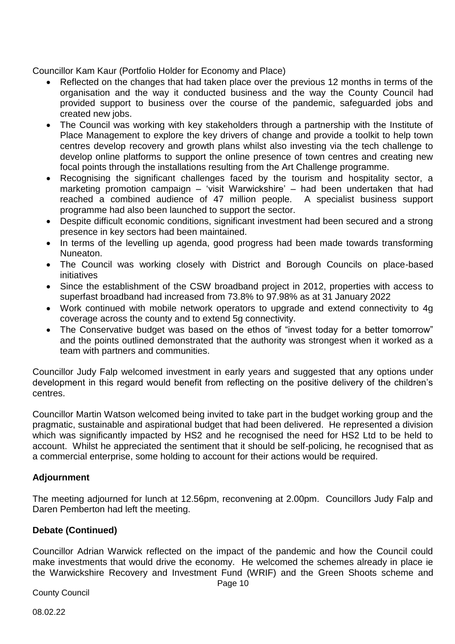Councillor Kam Kaur (Portfolio Holder for Economy and Place)

- Reflected on the changes that had taken place over the previous 12 months in terms of the organisation and the way it conducted business and the way the County Council had provided support to business over the course of the pandemic, safeguarded jobs and created new jobs.
- The Council was working with key stakeholders through a partnership with the Institute of Place Management to explore the key drivers of change and provide a toolkit to help town centres develop recovery and growth plans whilst also investing via the tech challenge to develop online platforms to support the online presence of town centres and creating new focal points through the installations resulting from the Art Challenge programme.
- Recognising the significant challenges faced by the tourism and hospitality sector, a marketing promotion campaign – 'visit Warwickshire' – had been undertaken that had reached a combined audience of 47 million people. A specialist business support programme had also been launched to support the sector.
- Despite difficult economic conditions, significant investment had been secured and a strong presence in key sectors had been maintained.
- In terms of the levelling up agenda, good progress had been made towards transforming Nuneaton.
- The Council was working closely with District and Borough Councils on place-based initiatives
- Since the establishment of the CSW broadband project in 2012, properties with access to superfast broadband had increased from 73.8% to 97.98% as at 31 January 2022
- Work continued with mobile network operators to upgrade and extend connectivity to 4g coverage across the county and to extend 5g connectivity.
- The Conservative budget was based on the ethos of "invest today for a better tomorrow" and the points outlined demonstrated that the authority was strongest when it worked as a team with partners and communities.

Councillor Judy Falp welcomed investment in early years and suggested that any options under development in this regard would benefit from reflecting on the positive delivery of the children's centres.

Councillor Martin Watson welcomed being invited to take part in the budget working group and the pragmatic, sustainable and aspirational budget that had been delivered. He represented a division which was significantly impacted by HS2 and he recognised the need for HS2 Ltd to be held to account. Whilst he appreciated the sentiment that it should be self-policing, he recognised that as a commercial enterprise, some holding to account for their actions would be required.

#### **Adjournment**

The meeting adjourned for lunch at 12.56pm, reconvening at 2.00pm. Councillors Judy Falp and Daren Pemberton had left the meeting.

#### **Debate (Continued)**

Councillor Adrian Warwick reflected on the impact of the pandemic and how the Council could make investments that would drive the economy. He welcomed the schemes already in place ie the Warwickshire Recovery and Investment Fund (WRIF) and the Green Shoots scheme and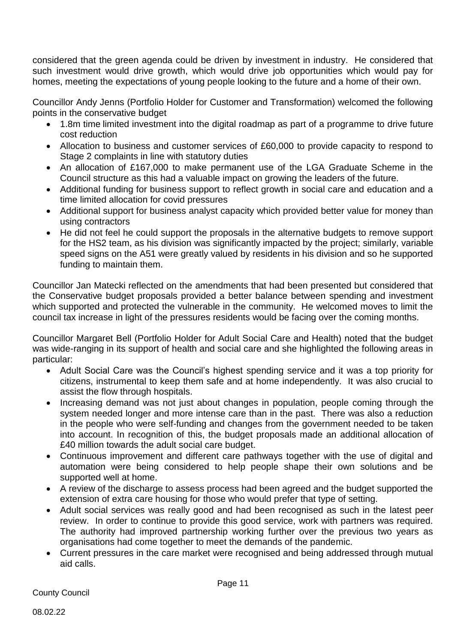considered that the green agenda could be driven by investment in industry. He considered that such investment would drive growth, which would drive job opportunities which would pay for homes, meeting the expectations of young people looking to the future and a home of their own.

Councillor Andy Jenns (Portfolio Holder for Customer and Transformation) welcomed the following points in the conservative budget

- 1.8m time limited investment into the digital roadmap as part of a programme to drive future cost reduction
- Allocation to business and customer services of £60,000 to provide capacity to respond to Stage 2 complaints in line with statutory duties
- An allocation of £167,000 to make permanent use of the LGA Graduate Scheme in the Council structure as this had a valuable impact on growing the leaders of the future.
- Additional funding for business support to reflect growth in social care and education and a time limited allocation for covid pressures
- Additional support for business analyst capacity which provided better value for money than using contractors
- He did not feel he could support the proposals in the alternative budgets to remove support for the HS2 team, as his division was significantly impacted by the project; similarly, variable speed signs on the A51 were greatly valued by residents in his division and so he supported funding to maintain them.

Councillor Jan Matecki reflected on the amendments that had been presented but considered that the Conservative budget proposals provided a better balance between spending and investment which supported and protected the vulnerable in the community. He welcomed moves to limit the council tax increase in light of the pressures residents would be facing over the coming months.

Councillor Margaret Bell (Portfolio Holder for Adult Social Care and Health) noted that the budget was wide-ranging in its support of health and social care and she highlighted the following areas in particular:

- Adult Social Care was the Council's highest spending service and it was a top priority for citizens, instrumental to keep them safe and at home independently. It was also crucial to assist the flow through hospitals.
- Increasing demand was not just about changes in population, people coming through the system needed longer and more intense care than in the past. There was also a reduction in the people who were self-funding and changes from the government needed to be taken into account. In recognition of this, the budget proposals made an additional allocation of £40 million towards the adult social care budget.
- Continuous improvement and different care pathways together with the use of digital and automation were being considered to help people shape their own solutions and be supported well at home.
- A review of the discharge to assess process had been agreed and the budget supported the extension of extra care housing for those who would prefer that type of setting.
- Adult social services was really good and had been recognised as such in the latest peer review. In order to continue to provide this good service, work with partners was required. The authority had improved partnership working further over the previous two years as organisations had come together to meet the demands of the pandemic.
- Current pressures in the care market were recognised and being addressed through mutual aid calls.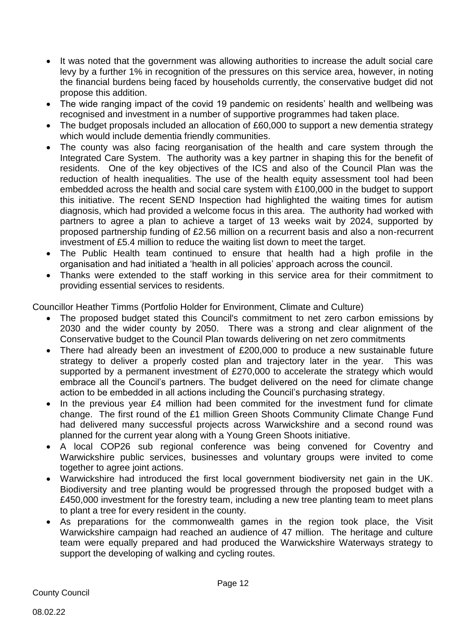- It was noted that the government was allowing authorities to increase the adult social care levy by a further 1% in recognition of the pressures on this service area, however, in noting the financial burdens being faced by households currently, the conservative budget did not propose this addition.
- The wide ranging impact of the covid 19 pandemic on residents' health and wellbeing was recognised and investment in a number of supportive programmes had taken place.
- The budget proposals included an allocation of £60,000 to support a new dementia strategy which would include dementia friendly communities.
- The county was also facing reorganisation of the health and care system through the Integrated Care System. The authority was a key partner in shaping this for the benefit of residents. One of the key objectives of the ICS and also of the Council Plan was the reduction of health inequalities. The use of the health equity assessment tool had been embedded across the health and social care system with £100,000 in the budget to support this initiative. The recent SEND Inspection had highlighted the waiting times for autism diagnosis, which had provided a welcome focus in this area. The authority had worked with partners to agree a plan to achieve a target of 13 weeks wait by 2024, supported by proposed partnership funding of £2.56 million on a recurrent basis and also a non-recurrent investment of £5.4 million to reduce the waiting list down to meet the target.
- The Public Health team continued to ensure that health had a high profile in the organisation and had initiated a 'health in all policies' approach across the council.
- Thanks were extended to the staff working in this service area for their commitment to providing essential services to residents.

Councillor Heather Timms (Portfolio Holder for Environment, Climate and Culture)

- The proposed budget stated this Council's commitment to net zero carbon emissions by 2030 and the wider county by 2050. There was a strong and clear alignment of the Conservative budget to the Council Plan towards delivering on net zero commitments
- There had already been an investment of £200,000 to produce a new sustainable future strategy to deliver a properly costed plan and trajectory later in the year. This was supported by a permanent investment of £270,000 to accelerate the strategy which would embrace all the Council's partners. The budget delivered on the need for climate change action to be embedded in all actions including the Council's purchasing strategy.
- In the previous year £4 million had been commited for the investment fund for climate change. The first round of the £1 million Green Shoots Community Climate Change Fund had delivered many successful projects across Warwickshire and a second round was planned for the current year along with a Young Green Shoots initiative.
- A local COP26 sub regional conference was being convened for Coventry and Warwickshire public services, businesses and voluntary groups were invited to come together to agree joint actions.
- Warwickshire had introduced the first local government biodiversity net gain in the UK. Biodiversity and tree planting would be progressed through the proposed budget with a £450,000 investment for the forestry team, including a new tree planting team to meet plans to plant a tree for every resident in the county.
- As preparations for the commonwealth games in the region took place, the Visit Warwickshire campaign had reached an audience of 47 million. The heritage and culture team were equally prepared and had produced the Warwickshire Waterways strategy to support the developing of walking and cycling routes.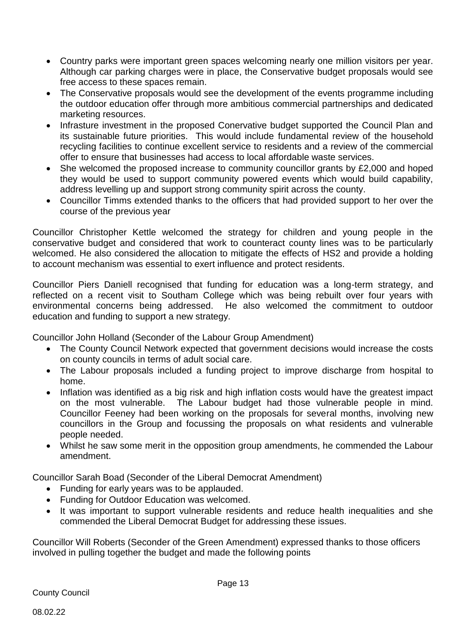- Country parks were important green spaces welcoming nearly one million visitors per year. Although car parking charges were in place, the Conservative budget proposals would see free access to these spaces remain.
- The Conservative proposals would see the development of the events programme including the outdoor education offer through more ambitious commercial partnerships and dedicated marketing resources.
- Infrasture investment in the proposed Conervative budget supported the Council Plan and its sustainable future priorities. This would include fundamental review of the household recycling facilities to continue excellent service to residents and a review of the commercial offer to ensure that businesses had access to local affordable waste services.
- She welcomed the proposed increase to community councillor grants by £2,000 and hoped they would be used to support community powered events which would build capability, address levelling up and support strong community spirit across the county.
- Councillor Timms extended thanks to the officers that had provided support to her over the course of the previous year

Councillor Christopher Kettle welcomed the strategy for children and young people in the conservative budget and considered that work to counteract county lines was to be particularly welcomed. He also considered the allocation to mitigate the effects of HS2 and provide a holding to account mechanism was essential to exert influence and protect residents.

Councillor Piers Daniell recognised that funding for education was a long-term strategy, and reflected on a recent visit to Southam College which was being rebuilt over four years with environmental concerns being addressed. He also welcomed the commitment to outdoor education and funding to support a new strategy.

Councillor John Holland (Seconder of the Labour Group Amendment)

- The County Council Network expected that government decisions would increase the costs on county councils in terms of adult social care.
- The Labour proposals included a funding project to improve discharge from hospital to home.
- Inflation was identified as a big risk and high inflation costs would have the greatest impact on the most vulnerable. The Labour budget had those vulnerable people in mind. Councillor Feeney had been working on the proposals for several months, involving new councillors in the Group and focussing the proposals on what residents and vulnerable people needed.
- Whilst he saw some merit in the opposition group amendments, he commended the Labour amendment.

Councillor Sarah Boad (Seconder of the Liberal Democrat Amendment)

- Funding for early years was to be applauded.
- Funding for Outdoor Education was welcomed.
- It was important to support vulnerable residents and reduce health inequalities and she commended the Liberal Democrat Budget for addressing these issues.

Councillor Will Roberts (Seconder of the Green Amendment) expressed thanks to those officers involved in pulling together the budget and made the following points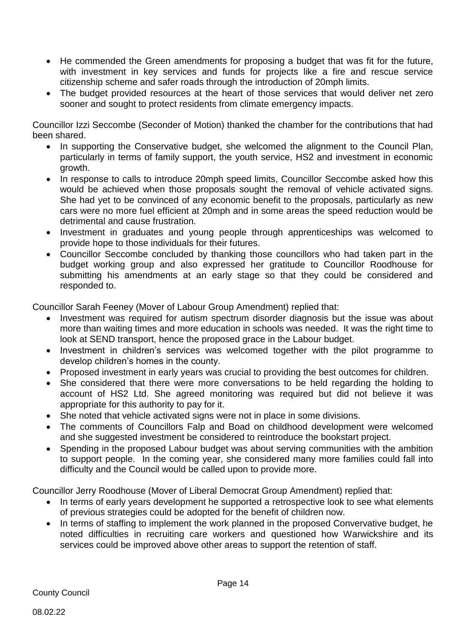- He commended the Green amendments for proposing a budget that was fit for the future, with investment in key services and funds for projects like a fire and rescue service citizenship scheme and safer roads through the introduction of 20mph limits.
- The budget provided resources at the heart of those services that would deliver net zero sooner and sought to protect residents from climate emergency impacts.

Councillor Izzi Seccombe (Seconder of Motion) thanked the chamber for the contributions that had been shared.

- In supporting the Conservative budget, she welcomed the alignment to the Council Plan, particularly in terms of family support, the youth service, HS2 and investment in economic growth.
- In response to calls to introduce 20mph speed limits, Councillor Seccombe asked how this would be achieved when those proposals sought the removal of vehicle activated signs. She had yet to be convinced of any economic benefit to the proposals, particularly as new cars were no more fuel efficient at 20mph and in some areas the speed reduction would be detrimental and cause frustration.
- Investment in graduates and young people through apprenticeships was welcomed to provide hope to those individuals for their futures.
- Councillor Seccombe concluded by thanking those councillors who had taken part in the budget working group and also expressed her gratitude to Councillor Roodhouse for submitting his amendments at an early stage so that they could be considered and responded to.

Councillor Sarah Feeney (Mover of Labour Group Amendment) replied that:

- Investment was required for autism spectrum disorder diagnosis but the issue was about more than waiting times and more education in schools was needed. It was the right time to look at SEND transport, hence the proposed grace in the Labour budget.
- Investment in children's services was welcomed together with the pilot programme to develop children's homes in the county.
- Proposed investment in early years was crucial to providing the best outcomes for children.
- She considered that there were more conversations to be held regarding the holding to account of HS2 Ltd. She agreed monitoring was required but did not believe it was appropriate for this authority to pay for it.
- She noted that vehicle activated signs were not in place in some divisions.
- The comments of Councillors Falp and Boad on childhood development were welcomed and she suggested investment be considered to reintroduce the bookstart project.
- Spending in the proposed Labour budget was about serving communities with the ambition to support people. In the coming year, she considered many more families could fall into difficulty and the Council would be called upon to provide more.

Councillor Jerry Roodhouse (Mover of Liberal Democrat Group Amendment) replied that:

- In terms of early years development he supported a retrospective look to see what elements of previous strategies could be adopted for the benefit of children now.
- In terms of staffing to implement the work planned in the proposed Convervative budget, he noted difficulties in recruiting care workers and questioned how Warwickshire and its services could be improved above other areas to support the retention of staff.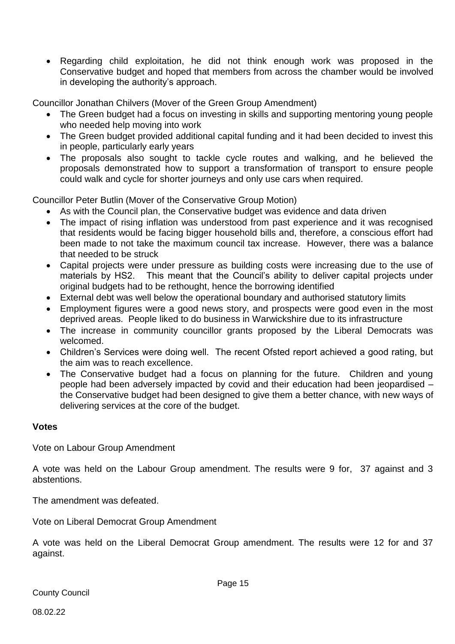Regarding child exploitation, he did not think enough work was proposed in the Conservative budget and hoped that members from across the chamber would be involved in developing the authority's approach.

Councillor Jonathan Chilvers (Mover of the Green Group Amendment)

- The Green budget had a focus on investing in skills and supporting mentoring young people who needed help moving into work
- The Green budget provided additional capital funding and it had been decided to invest this in people, particularly early years
- The proposals also sought to tackle cycle routes and walking, and he believed the proposals demonstrated how to support a transformation of transport to ensure people could walk and cycle for shorter journeys and only use cars when required.

Councillor Peter Butlin (Mover of the Conservative Group Motion)

- As with the Council plan, the Conservative budget was evidence and data driven
- The impact of rising inflation was understood from past experience and it was recognised that residents would be facing bigger household bills and, therefore, a conscious effort had been made to not take the maximum council tax increase. However, there was a balance that needed to be struck
- Capital projects were under pressure as building costs were increasing due to the use of materials by HS2. This meant that the Council's ability to deliver capital projects under original budgets had to be rethought, hence the borrowing identified
- External debt was well below the operational boundary and authorised statutory limits
- Employment figures were a good news story, and prospects were good even in the most deprived areas. People liked to do business in Warwickshire due to its infrastructure
- The increase in community councillor grants proposed by the Liberal Democrats was welcomed.
- Children's Services were doing well. The recent Ofsted report achieved a good rating, but the aim was to reach excellence.
- The Conservative budget had a focus on planning for the future. Children and young people had been adversely impacted by covid and their education had been jeopardised – the Conservative budget had been designed to give them a better chance, with new ways of delivering services at the core of the budget.

#### **Votes**

Vote on Labour Group Amendment

A vote was held on the Labour Group amendment. The results were 9 for, 37 against and 3 abstentions.

The amendment was defeated.

Vote on Liberal Democrat Group Amendment

A vote was held on the Liberal Democrat Group amendment. The results were 12 for and 37 against.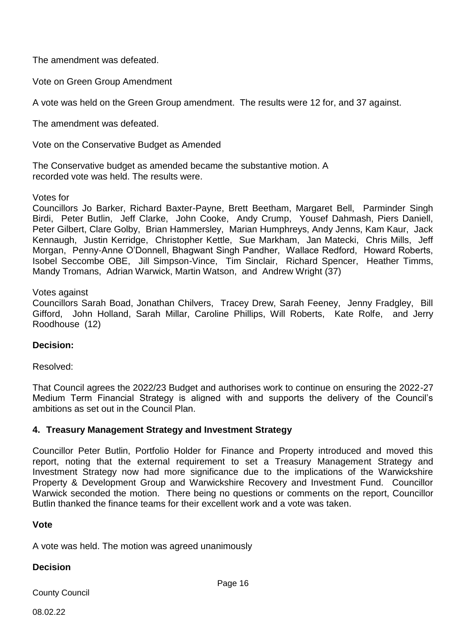The amendment was defeated.

Vote on Green Group Amendment

A vote was held on the Green Group amendment. The results were 12 for, and 37 against.

The amendment was defeated.

Vote on the Conservative Budget as Amended

The Conservative budget as amended became the substantive motion. A recorded vote was held. The results were.

Votes for

Councillors Jo Barker, Richard Baxter-Payne, Brett Beetham, Margaret Bell, Parminder Singh Birdi, Peter Butlin, Jeff Clarke, John Cooke, Andy Crump, Yousef Dahmash, Piers Daniell, Peter Gilbert, Clare Golby, Brian Hammersley, Marian Humphreys, Andy Jenns, Kam Kaur, Jack Kennaugh, Justin Kerridge, Christopher Kettle, Sue Markham, Jan Matecki, Chris Mills, Jeff Morgan, Penny-Anne O'Donnell, Bhagwant Singh Pandher, Wallace Redford, Howard Roberts, Isobel Seccombe OBE, Jill Simpson-Vince, Tim Sinclair, Richard Spencer, Heather Timms, Mandy Tromans, Adrian Warwick, Martin Watson, and Andrew Wright (37)

Votes against

Councillors Sarah Boad, Jonathan Chilvers, Tracey Drew, Sarah Feeney, Jenny Fradgley, Bill Gifford, John Holland, Sarah Millar, Caroline Phillips, Will Roberts, Kate Rolfe, and Jerry Roodhouse (12)

#### **Decision:**

Resolved:

That Council agrees the 2022/23 Budget and authorises work to continue on ensuring the 2022-27 Medium Term Financial Strategy is aligned with and supports the delivery of the Council's ambitions as set out in the Council Plan.

#### **4. Treasury Management Strategy and Investment Strategy**

Councillor Peter Butlin, Portfolio Holder for Finance and Property introduced and moved this report, noting that the external requirement to set a Treasury Management Strategy and Investment Strategy now had more significance due to the implications of the Warwickshire Property & Development Group and Warwickshire Recovery and Investment Fund. Councillor Warwick seconded the motion. There being no questions or comments on the report, Councillor Butlin thanked the finance teams for their excellent work and a vote was taken.

#### **Vote**

A vote was held. The motion was agreed unanimously

#### **Decision**